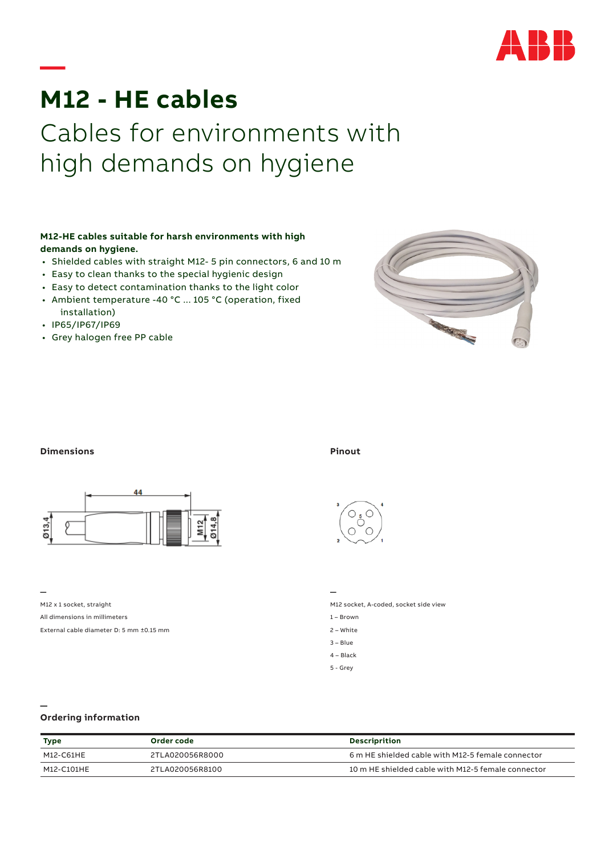

# **M12 - HE cables** Cables for environments with high demands on hygiene

### **M12-HE cables suitable for harsh environments with high demands on hygiene.**

- Shielded cables with straight M12- 5 pin connectors, 6 and 10 m
- Easy to clean thanks to the special hygienic design
- Easy to detect contamination thanks to the light color
- Ambient temperature -40 °C ... 105 °C (operation, fixed installation)
- IP65/IP67/IP69

**—**

• Grey halogen free PP cable



#### **Dimensions Pinout**



**—**

**—**

M12 x 1 socket, straight

All dimensions in millimeters

External cable diameter D: 5 mm ±0.15 mm



**—**

M12 socket, A-coded, socket side view

- 1 Brown
- 2 White
- $3$ Blue
- 4 Black 5 - Grey

## **Ordering information**

| Type       | Order code      | <b>Descriprition</b>                               |
|------------|-----------------|----------------------------------------------------|
| M12-C61HE  | 2TLA020056R8000 | 6 m HE shielded cable with M12-5 female connector  |
| M12-C101HF | 2TLA020056R8100 | 10 m HE shielded cable with M12-5 female connector |